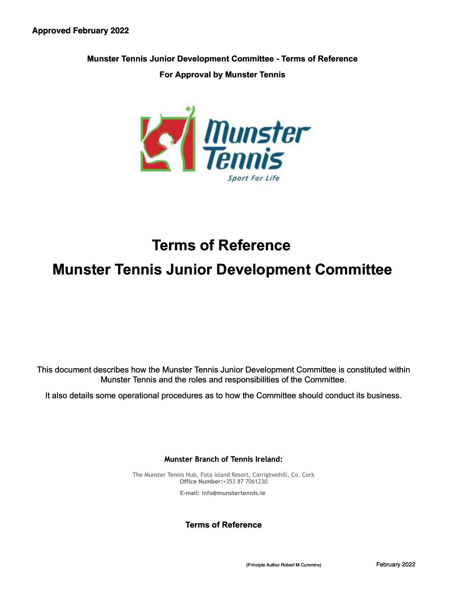#### **Munster Tennis Junior Development Committee - Terms of Reference**

#### **For Approval by Munster Tennis**



# **Terms of Reference**

## **Munster Tennis Junior Development Committee**

This document describes how the Munster Tennis Junior Development Committee is constituted within Munster Tennis and the roles and responsibilities of the Committee.

It also details some operational procedures as to how the Committee should conduct its business.

**Munster Branch of Tennis Ireland:**

The Munster Tennis Hub, Fota island Resort, Carrigtwohill, Co. Cork **Office Number:**+353 87 7061230

**E-mail: [info@munstertennis.ie](mailto:info@munstertennis.ie)**

#### **Terms of Reference**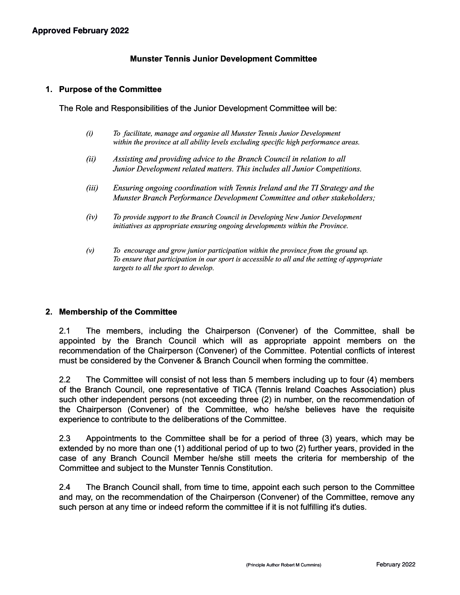#### **Approved February 2022**

#### **Munster Tennis Junior Development Committee**

#### **1. Purpose of the Committee**

The Role and Responsibilities of the Junior Development Committee will be:

- *(i) To facilitate, manage and organise all Munster Tennis Junior Development within the province at all ability levels excluding specific high performance areas.*
- *(ii) Assisting and providing advice to the Branch Council in relation to all Junior Development related matters. This includes all Junior Competitions.*
- *(iii) Ensuring ongoing coordination with Tennis Ireland and the TI Strategy and the Munster Branch Performance Development Committee and other stakeholders;*
- *(iv) To provide support to the Branch Council in Developing New Junior Development initiatives as appropriate ensuring ongoing developments within the Province.*
- *(v) To encourage and grow junior participation within the province from the ground up. To ensure that participation in our sport is accessible to all and the setting of appropriate targets to all the sport to develop.*

#### **2. Membership of the Committee**

2.1 The members, including the Chairperson (Convener) of the Committee, shall be appointed by the Branch Council which will as appropriate appoint members on the recommendation of the Chairperson (Convener) of the Committee. Potential conflicts of interest must be considered by the Convener & Branch Council when forming the committee.

2.2 The Committee will consist of not less than 5 members including up to four (4) members of the Branch Council, one representative of TICA (Tennis Ireland Coaches Association) plus such other independent persons (not exceeding three (2) in number, on the recommendation of the Chairperson (Convener) of the Committee, who he/she believes have the requisite experience to contribute to the deliberations of the Committee.

2.3 Appointments to the Committee shall be for a period of three (3) years, which may be extended by no more than one (1) additional period of up to two (2) further years, provided in the case of any Branch Council Member he/she still meets the criteria for membership of the Committee and subject to the Munster Tennis Constitution.

2.4 The Branch Council shall, from time to time, appoint each such person to the Committee and may, on the recommendation of the Chairperson (Convener) of the Committee, remove any such person at any time or indeed reform the committee if it is not fulfilling it's duties.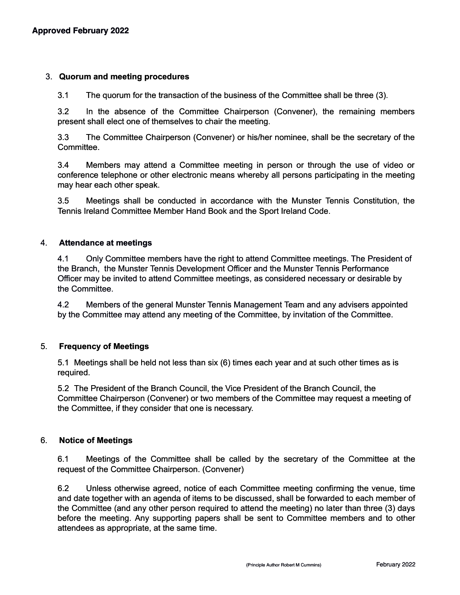#### 3. **Quorum and meeting procedures**

3.1 The quorum for the transaction of the business of the Committee shall be three (3).

3.2 In the absence of the Committee Chairperson (Convener), the remaining members present shall elect one of themselves to chair the meeting.

3.3 The Committee Chairperson (Convener) or his/her nominee, shall be the secretary of the Committee.

3.4 Members may attend a Committee meeting in person or through the use of video or conference telephone or other electronic means whereby all persons participating in the meeting may hear each other speak.

3.5 Meetings shall be conducted in accordance with the Munster Tennis Constitution, the Tennis Ireland Committee Member Hand Book and the Sport Ireland Code.

#### 4. **Attendance at meetings**

4.1 Only Committee members have the right to attend Committee meetings. The President of the Branch, the Munster Tennis Development Officer and the Munster Tennis Performance Officer may be invited to attend Committee meetings, as considered necessary or desirable by the Committee.

4.2 Members of the general Munster Tennis Management Team and any advisers appointed by the Committee may attend any meeting of the Committee, by invitation of the Committee.

#### 5. **Frequency of Meetings**

5.1 Meetings shall be held not less than six (6) times each year and at such other times as is required.

5.2 The President of the Branch Council, the Vice President of the Branch Council, the Committee Chairperson (Convener) or two members of the Committee may request a meeting of the Committee, if they consider that one is necessary.

#### 6. **Notice of Meetings**

6.1 Meetings of the Committee shall be called by the secretary of the Committee at the request of the Committee Chairperson. (Convener)

6.2 Unless otherwise agreed, notice of each Committee meeting confirming the venue, time and date together with an agenda of items to be discussed, shall be forwarded to each member of the Committee (and any other person required to attend the meeting) no later than three (3) days before the meeting. Any supporting papers shall be sent to Committee members and to other attendees as appropriate, at the same time.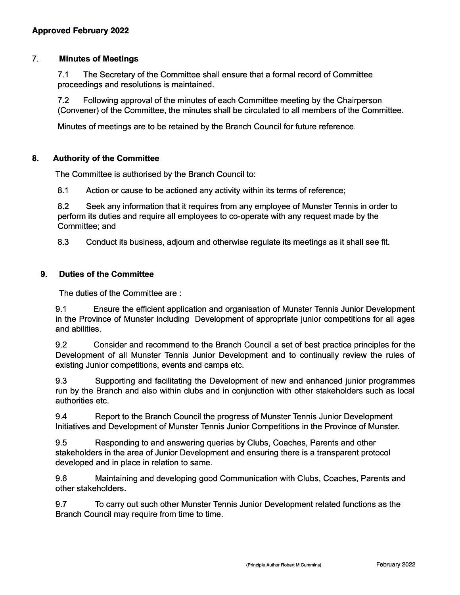#### 7. **Minutes of Meetings**

7.1 The Secretary of the Committee shall ensure that a formal record of Committee proceedings and resolutions is maintained.

7.2 Following approval of the minutes of each Committee meeting by the Chairperson (Convener) of the Committee, the minutes shall be circulated to all members of the Committee.

Minutes of meetings are to be retained by the Branch Council for future reference.

#### **8. Authority of the Committee**

The Committee is authorised by the Branch Council to:

8.1 Action or cause to be actioned any activity within its terms of reference;

8.2 Seek any information that it requires from any employee of Munster Tennis in order to perform its duties and require all employees to co-operate with any request made by the Committee; and

8.3 Conduct its business, adjourn and otherwise regulate its meetings as it shall see fit.

#### **9. Duties of the Committee**

The duties of the Committee are :

9.1 Ensure the efficient application and organisation of Munster Tennis Junior Development in the Province of Munster including Development of appropriate junior competitions for all ages and abilities.

9.2 Consider and recommend to the Branch Council a set of best practice principles for the Development of all Munster Tennis Junior Development and to continually review the rules of existing Junior competitions, events and camps etc.

9.3 Supporting and facilitating the Development of new and enhanced junior programmes run by the Branch and also within clubs and in conjunction with other stakeholders such as local authorities etc.

9.4 Report to the Branch Council the progress of Munster Tennis Junior Development Initiatives and Development of Munster Tennis Junior Competitions in the Province of Munster.

9.5 Responding to and answering queries by Clubs, Coaches, Parents and other stakeholders in the area of Junior Development and ensuring there is a transparent protocol developed and in place in relation to same.

9.6 Maintaining and developing good Communication with Clubs, Coaches, Parents and other stakeholders.

9.7 To carry out such other Munster Tennis Junior Development related functions as the Branch Council may require from time to time.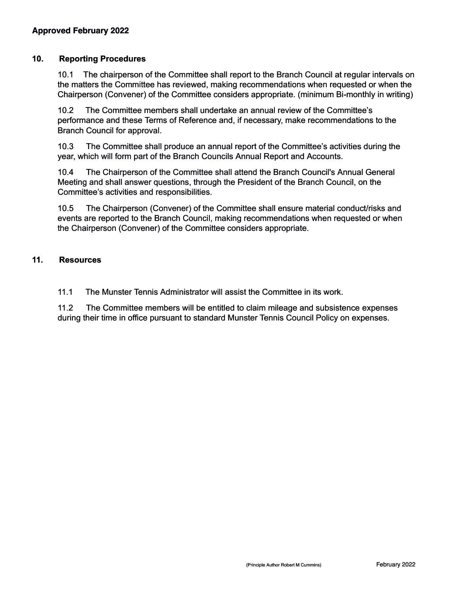#### **10. Reporting Procedures**

10.1 The chairperson of the Committee shall report to the Branch Council at regular intervals on the matters the Committee has reviewed, making recommendations when requested or when the Chairperson (Convener) of the Committee considers appropriate. (minimum Bi-monthly in writing)

10.2 The Committee members shall undertake an annual review of the Committee's performance and these Terms of Reference and, if necessary, make recommendations to the Branch Council for approval.

10.3 The Committee shall produce an annual report of the Committee's activities during the year, which will form part of the Branch Councils Annual Report and Accounts.

10.4 The Chairperson of the Committee shall attend the Branch Council's Annual General Meeting and shall answer questions, through the President of the Branch Council, on the Committee's activities and responsibilities.

10.5 The Chairperson (Convener) of the Committee shall ensure material conduct/risks and events are reported to the Branch Council, making recommendations when requested or when the Chairperson (Convener) of the Committee considers appropriate.

#### **11. Resources**

11.1 The Munster Tennis Administrator will assist the Committee in its work.

11.2 The Committee members will be entitled to claim mileage and subsistence expenses during their time in office pursuant to standard Munster Tennis Council Policy on expenses.